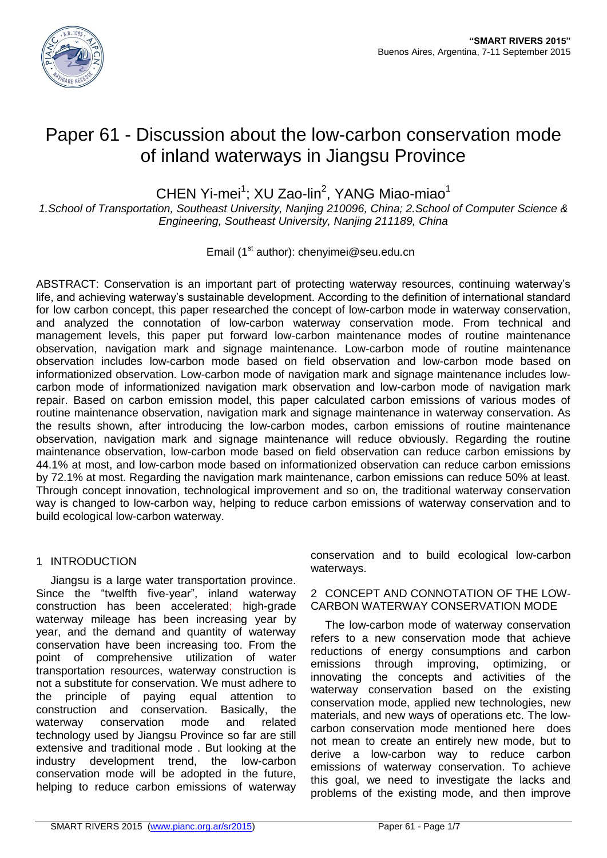

# Paper 61 - Discussion about the low-carbon conservation mode of inland waterways in Jiangsu Province

CHEN Yi-mei<sup>1</sup>; XU Zao-lin<sup>2</sup>, YANG Miao-miao<sup>1</sup>

*1.School of Transportation, Southeast University, Nanjing 210096, China; 2.School of Computer Science & Engineering, Southeast University, Nanjing 211189, China*

Email (1<sup>st</sup> author): chenyimei@seu.edu.cn

ABSTRACT: Conservation is an important part of protecting waterway resources, continuing waterway's life, and achieving waterway's sustainable development. According to the definition of international standard for low carbon concept, this paper researched the concept of low-carbon mode in waterway conservation, and analyzed the connotation of low-carbon waterway conservation mode. From technical and management levels, this paper put forward low-carbon maintenance modes of routine maintenance observation, navigation mark and signage maintenance. Low-carbon mode of routine maintenance observation includes low-carbon mode based on field observation and low-carbon mode based on informationized observation. Low-carbon mode of navigation mark and signage maintenance includes lowcarbon mode of informationized navigation mark observation and low-carbon mode of navigation mark repair. Based on carbon emission model, this paper calculated carbon emissions of various modes of routine maintenance observation, navigation mark and signage maintenance in waterway conservation. As the results shown, after introducing the low-carbon modes, carbon emissions of routine maintenance observation, navigation mark and signage maintenance will reduce obviously. Regarding the routine maintenance observation, low-carbon mode based on field observation can reduce carbon emissions by 44.1% at most, and low-carbon mode based on informationized observation can reduce carbon emissions by 72.1% at most. Regarding the navigation mark maintenance, carbon emissions can reduce 50% at least. Through concept innovation, technological improvement and so on, the traditional waterway conservation way is changed to low-carbon way, helping to reduce carbon emissions of waterway conservation and to build ecological low-carbon waterway.

## 1 INTRODUCTION

Jiangsu is a large water transportation province. Since the "twelfth five-year", inland waterway construction has been accelerated; high-grade waterway mileage has been increasing year by year, and the demand and quantity of waterway conservation have been increasing too. From the point of comprehensive utilization of water transportation resources, waterway construction is not a substitute for conservation. We must adhere to the principle of paying equal attention to construction and conservation. Basically, the waterway conservation mode and related technology used by Jiangsu Province so far are still extensive and traditional mode . But looking at the industry development trend, the low-carbon conservation mode will be adopted in the future, helping to reduce carbon emissions of waterway

conservation and to build ecological low-carbon waterways.

## 2 CONCEPT AND CONNOTATION OF THE LOW-CARBON WATERWAY CONSERVATION MODE

The low-carbon mode of waterway conservation refers to a new conservation mode that achieve reductions of energy consumptions and carbon emissions through improving, optimizing, or innovating the concepts and activities of the waterway conservation based on the existing conservation mode, applied new technologies, new materials, and new ways of operations etc. The lowcarbon conservation mode mentioned here does not mean to create an entirely new mode, but to derive a low-carbon way to reduce carbon emissions of waterway conservation. To achieve this goal, we need to investigate the lacks and problems of the existing mode, and then improve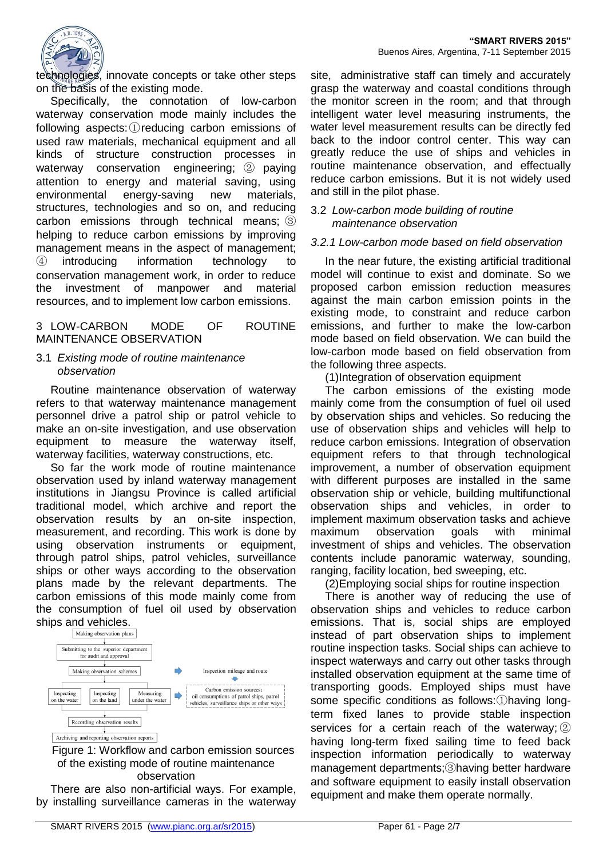

technologies, innovate concepts or take other steps on the basis of the existing mode.

Specifically, the connotation of low-carbon waterway conservation mode mainly includes the following aspects:①reducing carbon emissions of used raw materials, mechanical equipment and all kinds of structure construction processes in waterway conservation engineering; ② paying attention to energy and material saving, using environmental energy-saving new materials, structures, technologies and so on, and reducing carbon emissions through technical means; ③ helping to reduce carbon emissions by improving management means in the aspect of management; ④ introducing information technology to conservation management work, in order to reduce the investment of manpower and material resources, and to implement low carbon emissions.

#### 3 LOW-CARBON MODE OF ROUTINE MAINTENANCE OBSERVATION

## 3.1 *Existing mode of routine maintenance observation*

Routine maintenance observation of waterway refers to that waterway maintenance management personnel drive a patrol ship or patrol vehicle to make an on-site investigation, and use observation equipment to measure the waterway itself, waterway facilities, waterway constructions, etc.

So far the work mode of routine maintenance observation used by inland waterway management institutions in Jiangsu Province is called artificial traditional model, which archive and report the observation results by an on-site inspection, measurement, and recording. This work is done by using observation instruments or equipment, through patrol ships, patrol vehicles, surveillance ships or other ways according to the observation plans made by the relevant departments. The carbon emissions of this mode mainly come from the consumption of fuel oil used by observation ships and vehicles.



Figure 1: Workflow and carbon emission sources of the existing mode of routine maintenance observation

There are also non-artificial ways. For example, by installing surveillance cameras in the waterway

site, administrative staff can timely and accurately grasp the waterway and coastal conditions through the monitor screen in the room; and that through intelligent water level measuring instruments, the water level measurement results can be directly fed back to the indoor control center. This way can greatly reduce the use of ships and vehicles in routine maintenance observation, and effectually reduce carbon emissions. But it is not widely used and still in the pilot phase.

## 3.2 *Low-carbon mode building of routine maintenance observation*

## *3.2.1 Low-carbon mode based on field observation*

In the near future, the existing artificial traditional model will continue to exist and dominate. So we proposed carbon emission reduction measures against the main carbon emission points in the existing mode, to constraint and reduce carbon emissions, and further to make the low-carbon mode based on field observation. We can build the low-carbon mode based on field observation from the following three aspects.

(1)Integration of observation equipment

The carbon emissions of the existing mode mainly come from the consumption of fuel oil used by observation ships and vehicles. So reducing the use of observation ships and vehicles will help to reduce carbon emissions. Integration of observation equipment refers to that through technological improvement, a number of observation equipment with different purposes are installed in the same observation ship or vehicle, building multifunctional observation ships and vehicles, in order to implement maximum observation tasks and achieve maximum observation goals with minimal investment of ships and vehicles. The observation contents include panoramic waterway, sounding, ranging, facility location, bed sweeping, etc.

(2)Employing social ships for routine inspection

There is another way of reducing the use of observation ships and vehicles to reduce carbon emissions. That is, social ships are employed instead of part observation ships to implement routine inspection tasks. Social ships can achieve to inspect waterways and carry out other tasks through installed observation equipment at the same time of transporting goods. Employed ships must have some specific conditions as follows:①having longterm fixed lanes to provide stable inspection services for a certain reach of the waterway;  $(2)$ having long-term fixed sailing time to feed back inspection information periodically to waterway management departments;③having better hardware and software equipment to easily install observation equipment and make them operate normally.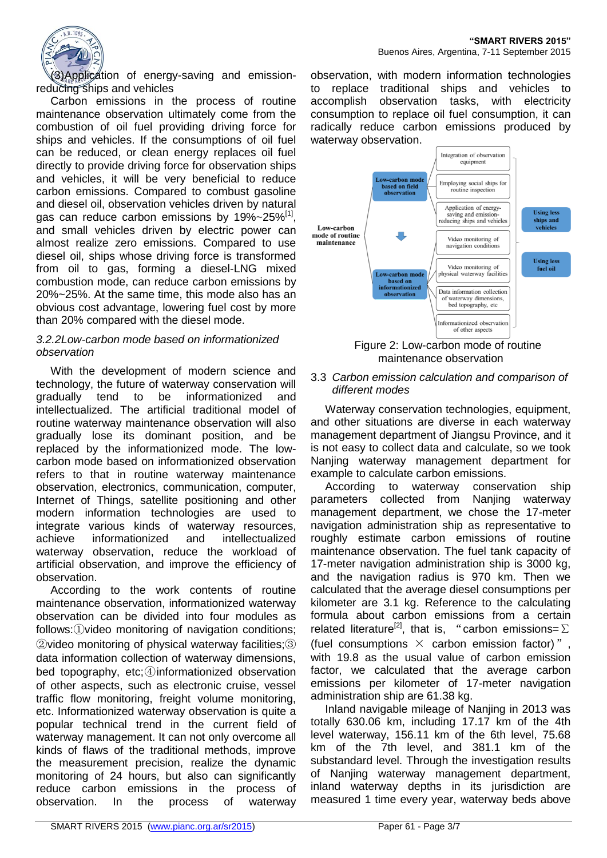

(3)Application of energy-saving and emissionreducing ships and vehicles

Carbon emissions in the process of routine maintenance observation ultimately come from the combustion of oil fuel providing driving force for ships and vehicles. If the consumptions of oil fuel can be reduced, or clean energy replaces oil fuel directly to provide driving force for observation ships and vehicles, it will be very beneficial to reduce carbon emissions. Compared to combust gasoline and diesel oil, observation vehicles driven by natural gas can reduce carbon emissions by 19%~25% $^{[1]}$ , and small vehicles driven by electric power can almost realize zero emissions. Compared to use diesel oil, ships whose driving force is transformed from oil to gas, forming a diesel-LNG mixed combustion mode, can reduce carbon emissions by 20%~25%. At the same time, this mode also has an obvious cost advantage, lowering fuel cost by more than 20% compared with the diesel mode.

#### *3.2.2Low-carbon mode based on informationized observation*

With the development of modern science and technology, the future of waterway conservation will gradually tend to be informationized and intellectualized. The artificial traditional model of routine waterway maintenance observation will also gradually lose its dominant position, and be replaced by the informationized mode. The lowcarbon mode based on informationized observation refers to that in routine waterway maintenance observation, electronics, communication, computer, Internet of Things, satellite positioning and other modern information technologies are used to integrate various kinds of waterway resources, achieve informationized and intellectualized waterway observation, reduce the workload of artificial observation, and improve the efficiency of observation.

According to the work contents of routine maintenance observation, informationized waterway observation can be divided into four modules as follows:①video monitoring of navigation conditions; ②video monitoring of physical waterway facilities;③ data information collection of waterway dimensions, bed topography, etc;④informationized observation of other aspects, such as electronic cruise, vessel traffic flow monitoring, freight volume monitoring, etc. Informationized waterway observation is quite a popular technical trend in the current field of waterway management. It can not only overcome all kinds of flaws of the traditional methods, improve the measurement precision, realize the dynamic monitoring of 24 hours, but also can significantly reduce carbon emissions in the process of observation. In the process of waterway

observation, with modern information technologies to replace traditional ships and vehicles to accomplish observation tasks, with electricity consumption to replace oil fuel consumption, it can radically reduce carbon emissions produced by waterway observation.



Figure 2: Low-carbon mode of routine maintenance observation

#### 3.3 *Carbon emission calculation and comparison of different modes*

Waterway conservation technologies, equipment, and other situations are diverse in each waterway management department of Jiangsu Province, and it is not easy to collect data and calculate, so we took Nanjing waterway management department for example to calculate carbon emissions.

According to waterway conservation ship parameters collected from Nanjing waterway management department, we chose the 17-meter navigation administration ship as representative to roughly estimate carbon emissions of routine maintenance observation. The fuel tank capacity of 17-meter navigation administration ship is 3000 kg, and the navigation radius is 970 km. Then we calculated that the average diesel consumptions per kilometer are 3.1 kg. Reference to the calculating formula about carbon emissions from a certain related literature<sup>[2]</sup>, that is, "carbon emissions= $\Sigma$ (fuel consumptions  $\times$  carbon emission factor)", with 19.8 as the usual value of carbon emission factor, we calculated that the average carbon emissions per kilometer of 17-meter navigation administration ship are 61.38 kg.

Inland navigable mileage of Nanjing in 2013 was totally 630.06 km, including 17.17 km of the 4th level waterway, 156.11 km of the 6th level, 75.68 km of the 7th level, and 381.1 km of the substandard level. Through the investigation results of Nanjing waterway management department, inland waterway depths in its jurisdiction are measured 1 time every year, waterway beds above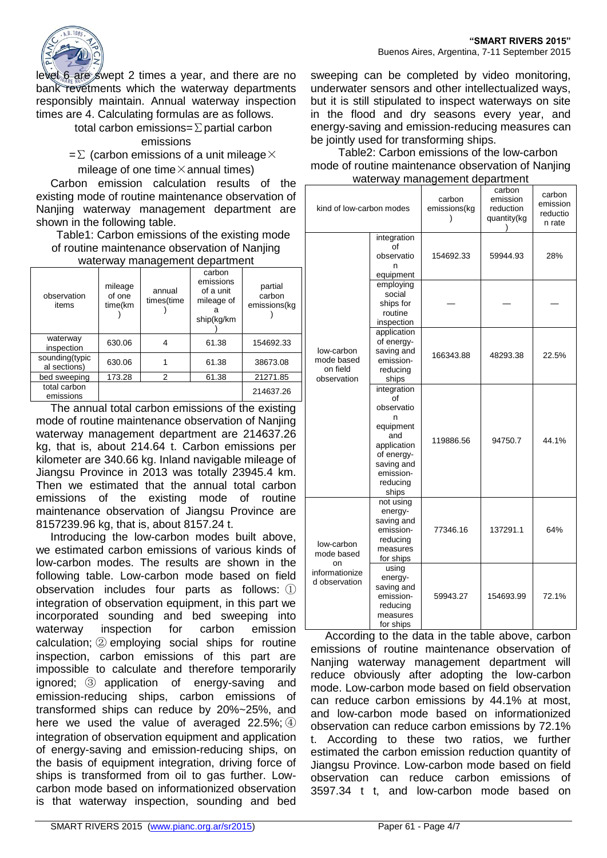

level 6 are swept 2 times a year, and there are no bank revetments which the waterway departments responsibly maintain. Annual waterway inspection times are 4. Calculating formulas are as follows.

total carbon emissions=∑partial carbon

## emissions

 $=\Sigma$  (carbon emissions of a unit mileage  $\times$ mileage of one time $\times$  annual times)

Carbon emission calculation results of the existing mode of routine maintenance observation of Nanjing waterway management department are shown in the following table.

## Table1: Carbon emissions of the existing mode of routine maintenance observation of Nanjing

| waterway management department |                              |                      |                                                              |                                   |  |  |
|--------------------------------|------------------------------|----------------------|--------------------------------------------------------------|-----------------------------------|--|--|
| observation<br>items           | mileage<br>of one<br>time(km | annual<br>times(time | carbon<br>emissions<br>of a unit<br>mileage of<br>ship(kg/km | partial<br>carbon<br>emissions(kg |  |  |
| waterway<br>inspection         | 630.06                       | 4                    | 61.38                                                        | 154692.33                         |  |  |
| sounding(typic<br>al sections) | 630.06                       |                      | 61.38                                                        | 38673.08                          |  |  |
| bed sweeping                   | 173.28                       | 2                    | 61.38                                                        | 21271.85                          |  |  |
| total carbon<br>emissions      |                              |                      |                                                              | 214637.26                         |  |  |

The annual total carbon emissions of the existing mode of routine maintenance observation of Nanjing waterway management department are 214637.26 kg, that is, about 214.64 t. Carbon emissions per kilometer are 340.66 kg. Inland navigable mileage of Jiangsu Province in 2013 was totally 23945.4 km. Then we estimated that the annual total carbon emissions of the existing mode of routine maintenance observation of Jiangsu Province are 8157239.96 kg, that is, about 8157.24 t.

Introducing the low-carbon modes built above, we estimated carbon emissions of various kinds of low-carbon modes. The results are shown in the following table. Low-carbon mode based on field observation includes four parts as follows: ① integration of observation equipment, in this part we incorporated sounding and bed sweeping into waterway inspection for carbon emission calculation; ② employing social ships for routine inspection, carbon emissions of this part are impossible to calculate and therefore temporarily ignored; ③ application of energy-saving and emission-reducing ships, carbon emissions of transformed ships can reduce by 20%~25%, and here we used the value of averaged  $22.5\%$ ; 4) integration of observation equipment and application of energy-saving and emission-reducing ships, on the basis of equipment integration, driving force of ships is transformed from oil to gas further. Lowcarbon mode based on informationized observation is that waterway inspection, sounding and bed

sweeping can be completed by video monitoring, underwater sensors and other intellectualized ways, but it is still stipulated to inspect waterways on site in the flood and dry seasons every year, and energy-saving and emission-reducing measures can be jointly used for transforming ships.

Table2: Carbon emissions of the low-carbon mode of routine maintenance observation of Nanjing waterway management department

| kind of low-carbon modes                                          |                                                                                                                                       | carbon<br>emissions(kg | carbon<br>emission<br>reduction<br>quantity(kg | carbon<br>emission<br>reductio<br>n rate |  |
|-------------------------------------------------------------------|---------------------------------------------------------------------------------------------------------------------------------------|------------------------|------------------------------------------------|------------------------------------------|--|
| low-carbon<br>mode based<br>on field<br>observation               | integration<br>οf<br>observatio<br>n<br>equipment                                                                                     | 154692.33              | 59944.93                                       | 28%                                      |  |
|                                                                   | employing<br>social<br>ships for<br>routine<br>inspection                                                                             |                        |                                                |                                          |  |
|                                                                   | application<br>of energy-<br>saving and<br>emission-<br>reducing<br>ships                                                             | 166343.88              | 48293.38                                       | 22.5%                                    |  |
|                                                                   | integration<br>Ωf<br>observatio<br>n<br>equipment<br>and<br>application<br>of energy-<br>saving and<br>emission-<br>reducing<br>ships | 119886.56              | 94750.7                                        | 44.1%                                    |  |
| low-carbon<br>mode based<br>on<br>informationize<br>d observation | not using<br>energy-<br>saving and<br>emission-<br>reducing<br>measures<br>for ships                                                  | 77346.16               | 137291.1                                       | 64%                                      |  |
|                                                                   | using<br>energy-<br>saving and<br>emission-<br>reducing<br>measures<br>for ships                                                      | 59943.27               | 154693.99                                      | 72.1%                                    |  |

According to the data in the table above, carbon emissions of routine maintenance observation of Nanjing waterway management department will reduce obviously after adopting the low-carbon mode. Low-carbon mode based on field observation can reduce carbon emissions by 44.1% at most, and low-carbon mode based on informationized observation can reduce carbon emissions by 72.1% t. According to these two ratios, we further estimated the carbon emission reduction quantity of Jiangsu Province. Low-carbon mode based on field observation can reduce carbon emissions of 3597.34 t t, and low-carbon mode based on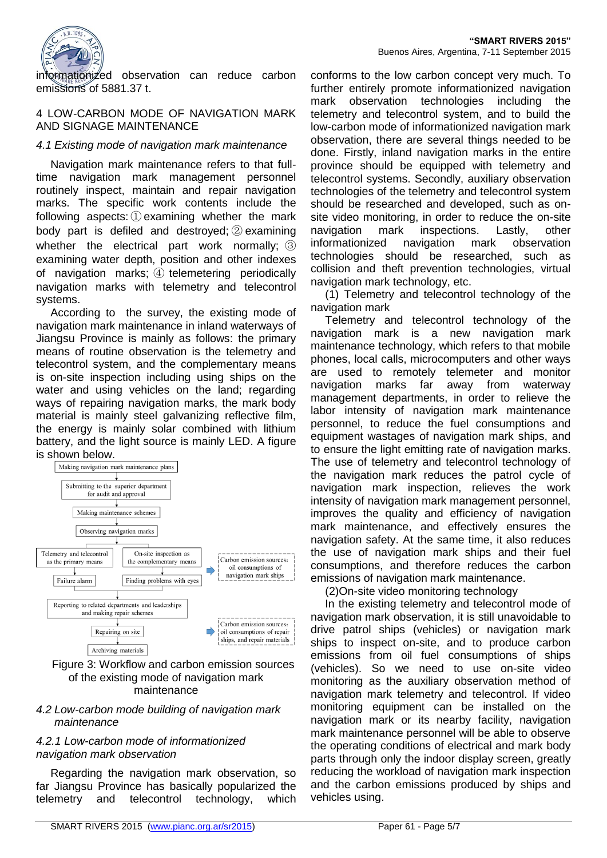

informationized observation can reduce carbon emissions of 5881.37 t.

#### 4 LOW-CARBON MODE OF NAVIGATION MARK AND SIGNAGE MAINTENANCE

## *4.1 Existing mode of navigation mark maintenance*

Navigation mark maintenance refers to that fulltime navigation mark management personnel routinely inspect, maintain and repair navigation marks. The specific work contents include the following aspects: ① examining whether the mark body part is defiled and destroyed; ② examining whether the electrical part work normally; 3 examining water depth, position and other indexes of navigation marks; ④ telemetering periodically navigation marks with telemetry and telecontrol systems.

According to the survey, the existing mode of navigation mark maintenance in inland waterways of Jiangsu Province is mainly as follows: the primary means of routine observation is the telemetry and telecontrol system, and the complementary means is on-site inspection including using ships on the water and using vehicles on the land; regarding ways of repairing navigation marks, the mark body material is mainly steel galvanizing reflective film, the energy is mainly solar combined with lithium battery, and the light source is mainly LED. A figure is shown below.



#### Figure 3: Workflow and carbon emission sources of the existing mode of navigation mark maintenance

#### *4.2 Low-carbon mode building of navigation mark maintenance*

## *4.2.1 Low-carbon mode of informationized navigation mark observation*

Regarding the navigation mark observation, so far Jiangsu Province has basically popularized the telemetry and telecontrol technology, which

conforms to the low carbon concept very much. To further entirely promote informationized navigation mark observation technologies including the telemetry and telecontrol system, and to build the low-carbon mode of informationized navigation mark observation, there are several things needed to be done. Firstly, inland navigation marks in the entire province should be equipped with telemetry and telecontrol systems. Secondly, auxiliary observation technologies of the telemetry and telecontrol system should be researched and developed, such as onsite video monitoring, in order to reduce the on-site navigation mark inspections. Lastly, other informationized navigation mark observation technologies should be researched, such as collision and theft prevention technologies, virtual navigation mark technology, etc.

(1) Telemetry and telecontrol technology of the navigation mark

Telemetry and telecontrol technology of the navigation mark is a new navigation mark maintenance technology, which refers to that mobile phones, local calls, microcomputers and other ways are used to remotely telemeter and monitor navigation marks far away from waterway management departments, in order to relieve the labor intensity of navigation mark maintenance personnel, to reduce the fuel consumptions and equipment wastages of navigation mark ships, and to ensure the light emitting rate of navigation marks. The use of telemetry and telecontrol technology of the navigation mark reduces the patrol cycle of navigation mark inspection, relieves the work intensity of navigation mark management personnel, improves the quality and efficiency of navigation mark maintenance, and effectively ensures the navigation safety. At the same time, it also reduces the use of navigation mark ships and their fuel consumptions, and therefore reduces the carbon emissions of navigation mark maintenance.

(2)On-site video monitoring technology

In the existing telemetry and telecontrol mode of navigation mark observation, it is still unavoidable to drive patrol ships (vehicles) or navigation mark ships to inspect on-site, and to produce carbon emissions from oil fuel consumptions of ships (vehicles). So we need to use on-site video monitoring as the auxiliary observation method of navigation mark telemetry and telecontrol. If video monitoring equipment can be installed on the navigation mark or its nearby facility, navigation mark maintenance personnel will be able to observe the operating conditions of electrical and mark body parts through only the indoor display screen, greatly reducing the workload of navigation mark inspection and the carbon emissions produced by ships and vehicles using.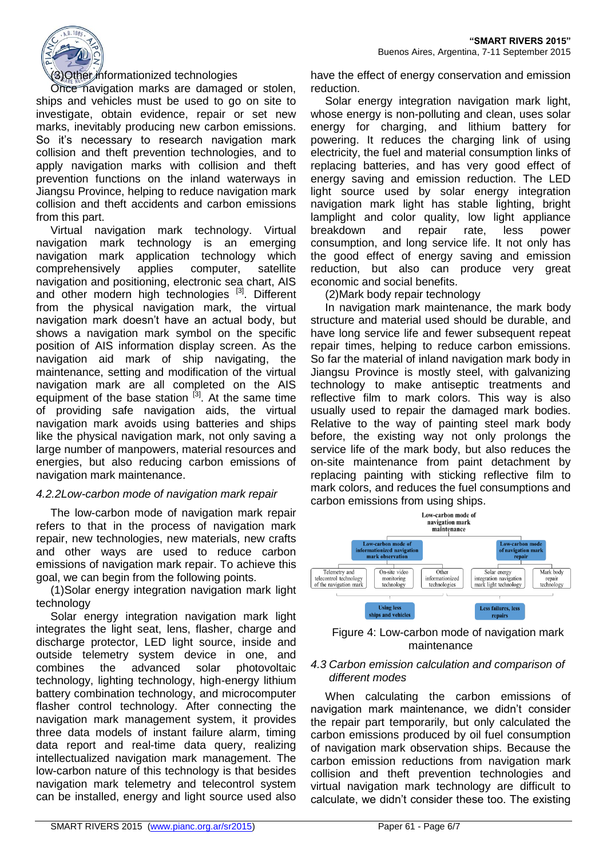

#### (3)Other informationized technologies

Once navigation marks are damaged or stolen, ships and vehicles must be used to go on site to investigate, obtain evidence, repair or set new marks, inevitably producing new carbon emissions. So it's necessary to research navigation mark collision and theft prevention technologies, and to apply navigation marks with collision and theft prevention functions on the inland waterways in Jiangsu Province, helping to reduce navigation mark collision and theft accidents and carbon emissions from this part.

Virtual navigation mark technology. Virtual navigation mark technology is an emerging navigation mark application technology which comprehensively applies computer, satellite navigation and positioning, electronic sea chart, AIS and other modern high technologies [3]. Different from the physical navigation mark, the virtual navigation mark doesn't have an actual body, but shows a navigation mark symbol on the specific position of AIS information display screen. As the navigation aid mark of ship navigating, the maintenance, setting and modification of the virtual navigation mark are all completed on the AIS equipment of the base station  $[3]$ . At the same time of providing safe navigation aids, the virtual navigation mark avoids using batteries and ships like the physical navigation mark, not only saving a large number of manpowers, material resources and energies, but also reducing carbon emissions of navigation mark maintenance.

## *4.2.2Low-carbon mode of navigation mark repair*

The low-carbon mode of navigation mark repair refers to that in the process of navigation mark repair, new technologies, new materials, new crafts and other ways are used to reduce carbon emissions of navigation mark repair. To achieve this goal, we can begin from the following points.

(1)Solar energy integration navigation mark light technology

Solar energy integration navigation mark light integrates the light seat, lens, flasher, charge and discharge protector, LED light source, inside and outside telemetry system device in one, and combines the advanced solar photovoltaic technology, lighting technology, high-energy lithium battery combination technology, and microcomputer flasher control technology. After connecting the navigation mark management system, it provides three data models of instant failure alarm, timing data report and real-time data query, realizing intellectualized navigation mark management. The low-carbon nature of this technology is that besides navigation mark telemetry and telecontrol system can be installed, energy and light source used also

have the effect of energy conservation and emission reduction.

Solar energy integration navigation mark light, whose energy is non-polluting and clean, uses solar energy for charging, and lithium battery for powering. It reduces the charging link of using electricity, the fuel and material consumption links of replacing batteries, and has very good effect of energy saving and emission reduction. The LED light source used by solar energy integration navigation mark light has stable lighting, bright lamplight and color quality, low light appliance breakdown and repair rate, less power consumption, and long service life. It not only has the good effect of energy saving and emission reduction, but also can produce very great economic and social benefits.

(2)Mark body repair technology

In navigation mark maintenance, the mark body structure and material used should be durable, and have long service life and fewer subsequent repeat repair times, helping to reduce carbon emissions. So far the material of inland navigation mark body in Jiangsu Province is mostly steel, with galvanizing technology to make antiseptic treatments and reflective film to mark colors. This way is also usually used to repair the damaged mark bodies. Relative to the way of painting steel mark body before, the existing way not only prolongs the service life of the mark body, but also reduces the on-site maintenance from paint detachment by replacing painting with sticking reflective film to mark colors, and reduces the fuel consumptions and carbon emissions from using ships.





#### *4.3 Carbon emission calculation and comparison of different modes*

When calculating the carbon emissions of navigation mark maintenance, we didn't consider the repair part temporarily, but only calculated the carbon emissions produced by oil fuel consumption of navigation mark observation ships. Because the carbon emission reductions from navigation mark collision and theft prevention technologies and virtual navigation mark technology are difficult to calculate, we didn't consider these too. The existing